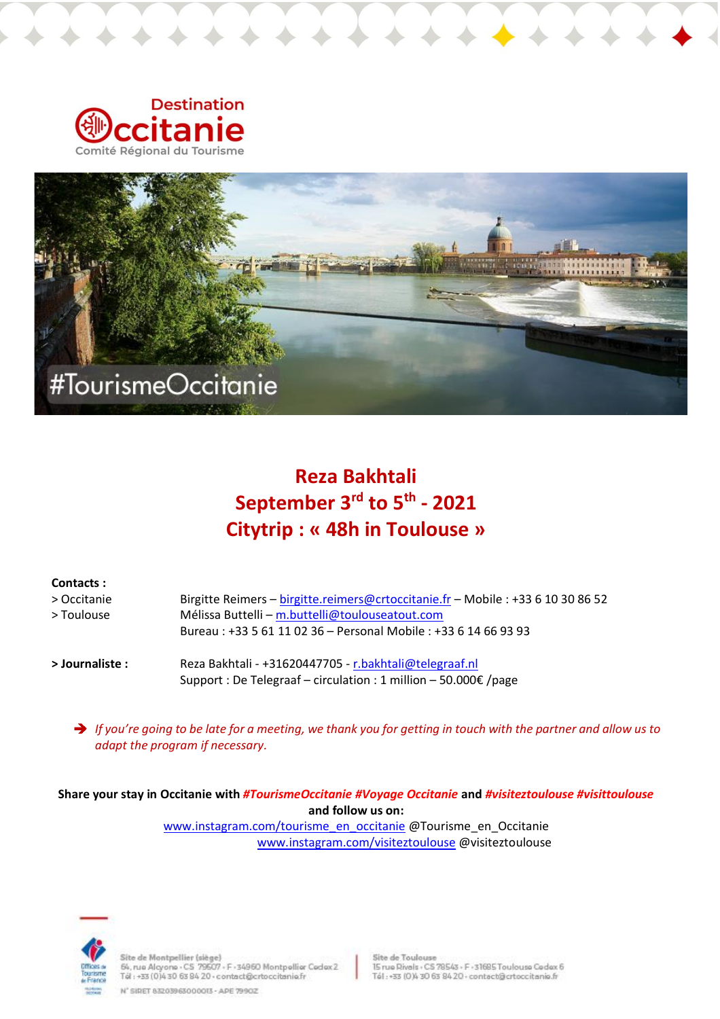



# **Reza Bakhtali September 3 rd to 5th - 2021 Citytrip : « 48h in Toulouse »**

| <b>Contacts :</b>         |                                                                                                                                     |
|---------------------------|-------------------------------------------------------------------------------------------------------------------------------------|
| > Occitanie<br>> Toulouse | Birgitte Reimers - birgitte.reimers@crtoccitanie.fr - Mobile : +33 6 10 30 86 52<br>Mélissa Buttelli – m.buttelli@toulouseatout.com |
|                           | Bureau: +33 5 61 11 02 36 - Personal Mobile: +33 6 14 66 93 93                                                                      |
| > Journaliste :           | Reza Bakhtali - +31620447705 - r.bakhtali@telegraaf.nl<br>Support : De Telegraaf – circulation : 1 million – 50.000€ /page          |

*If you're going to be late for a meeting, we thank you for getting in touch with the partner and allow us to adapt the program if necessary.* 

**Share your stay in Occitanie with** *#TourismeOccitanie #Voyage Occitanie* **and** *#visiteztoulouse #visittoulouse* **and follow us on:**

[www.instagram.com/tourisme\\_en\\_occitanie](http://www.instagram.com/tourisme_en_occitanie) @Tourisme\_en\_Occitanie [www.instagram.com/visiteztoulouse](http://www.instagram.com/visiteztoulouse/) @visiteztoulouse



Site de Montpellier (siège)<br>64, rue Alcyone - CS-79507 - F -34960 Montpellier Cedex 2<br>Tél : +33 (0)4 30 63 84 20 - contact@crtoccitanie.fr

N' SIDET 83203963000013 - APE 79902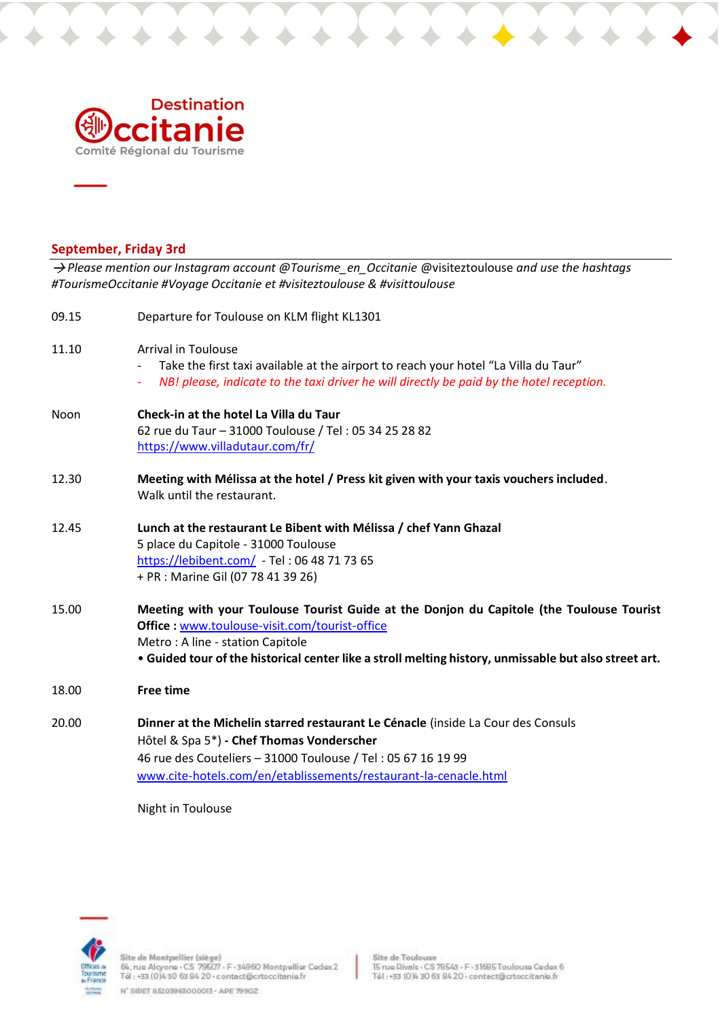

### **September, Friday 3rd**

*Please mention our Instagram account @Tourisme\_en\_Occitanie* @visiteztoulouse *and use the hashtags #TourismeOccitanie #Voyage Occitanie et #visiteztoulouse & #visittoulouse*

| 09.15 | Departure for Toulouse on KLM flight KL1301                                                                                                                                                                                                                                             |
|-------|-----------------------------------------------------------------------------------------------------------------------------------------------------------------------------------------------------------------------------------------------------------------------------------------|
| 11.10 | <b>Arrival in Toulouse</b><br>Take the first taxi available at the airport to reach your hotel "La Villa du Taur"<br>NB! please, indicate to the taxi driver he will directly be paid by the hotel reception.                                                                           |
| Noon  | Check-in at the hotel La Villa du Taur<br>62 rue du Taur - 31000 Toulouse / Tel : 05 34 25 28 82<br>https://www.villadutaur.com/fr/                                                                                                                                                     |
| 12.30 | Meeting with Mélissa at the hotel / Press kit given with your taxis vouchers included.<br>Walk until the restaurant.                                                                                                                                                                    |
| 12.45 | Lunch at the restaurant Le Bibent with Mélissa / chef Yann Ghazal<br>5 place du Capitole - 31000 Toulouse<br>https://lebibent.com/ - Tel: 06 48 71 73 65<br>+ PR : Marine Gil (07 78 41 39 26)                                                                                          |
| 15.00 | Meeting with your Toulouse Tourist Guide at the Donjon du Capitole (the Toulouse Tourist<br>Office : www.toulouse-visit.com/tourist-office<br>Metro: A line - station Capitole<br>. Guided tour of the historical center like a stroll melting history, unmissable but also street art. |
| 18.00 | <b>Free time</b>                                                                                                                                                                                                                                                                        |
| 20.00 | Dinner at the Michelin starred restaurant Le Cénacle (inside La Cour des Consuls<br>Hôtel & Spa 5*) - Chef Thomas Vonderscher<br>46 rue des Couteliers - 31000 Toulouse / Tel: 05 67 16 19 99<br>www.cite-hotels.com/en/etablissements/restaurant-la-cenacle.html<br>Night in Toulouse  |

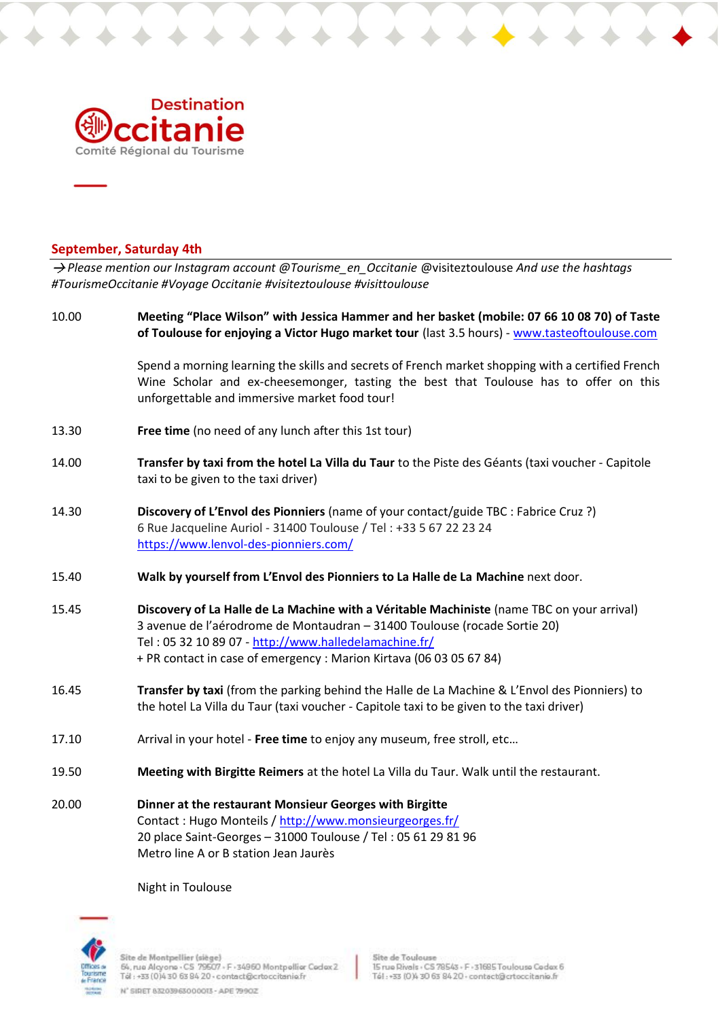

### **September, Saturday 4th**

*Please mention our Instagram account @Tourisme\_en\_Occitanie* @visiteztoulouse *And use the hashtags #TourismeOccitanie #Voyage Occitanie #visiteztoulouse #visittoulouse*

| 10.00 | Meeting "Place Wilson" with Jessica Hammer and her basket (mobile: 07 66 10 08 70) of Taste<br>of Toulouse for enjoying a Victor Hugo market tour (last 3.5 hours) - www.tasteoftoulouse.com                                                                                                            |
|-------|---------------------------------------------------------------------------------------------------------------------------------------------------------------------------------------------------------------------------------------------------------------------------------------------------------|
|       | Spend a morning learning the skills and secrets of French market shopping with a certified French<br>Wine Scholar and ex-cheesemonger, tasting the best that Toulouse has to offer on this<br>unforgettable and immersive market food tour!                                                             |
| 13.30 | Free time (no need of any lunch after this 1st tour)                                                                                                                                                                                                                                                    |
| 14.00 | Transfer by taxi from the hotel La Villa du Taur to the Piste des Géants (taxi voucher - Capitole<br>taxi to be given to the taxi driver)                                                                                                                                                               |
| 14.30 | Discovery of L'Envol des Pionniers (name of your contact/guide TBC : Fabrice Cruz ?)<br>6 Rue Jacqueline Auriol - 31400 Toulouse / Tel: +33 5 67 22 23 24<br>https://www.lenvol-des-pionniers.com/                                                                                                      |
| 15.40 | Walk by yourself from L'Envol des Pionniers to La Halle de La Machine next door.                                                                                                                                                                                                                        |
| 15.45 | Discovery of La Halle de La Machine with a Véritable Machiniste (name TBC on your arrival)<br>3 avenue de l'aérodrome de Montaudran - 31400 Toulouse (rocade Sortie 20)<br>Tel: 05 32 10 89 07 - http://www.halledelamachine.fr/<br>+ PR contact in case of emergency : Marion Kirtava (06 03 05 67 84) |
| 16.45 | Transfer by taxi (from the parking behind the Halle de La Machine & L'Envol des Pionniers) to<br>the hotel La Villa du Taur (taxi voucher - Capitole taxi to be given to the taxi driver)                                                                                                               |
| 17.10 | Arrival in your hotel - Free time to enjoy any museum, free stroll, etc                                                                                                                                                                                                                                 |
| 19.50 | Meeting with Birgitte Reimers at the hotel La Villa du Taur. Walk until the restaurant.                                                                                                                                                                                                                 |
| 20.00 | Dinner at the restaurant Monsieur Georges with Birgitte<br>Contact: Hugo Monteils / http://www.monsieurgeorges.fr/<br>20 place Saint-Georges - 31000 Toulouse / Tel: 05 61 29 81 96<br>Metro line A or B station Jean Jaurès                                                                            |

Night in Toulouse